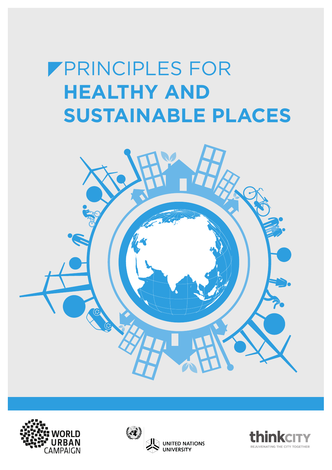# **FPRINCIPLES FOR HEALTHY AND SUSTAINABLE PLACES**







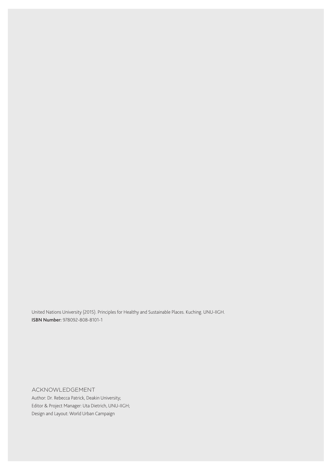United Nations University (2015). Principles for Healthy and Sustainable Places. Kuching. UNU-IIGH. ISBN Number: 978092-808-8101-1

#### ACKNOWLEDGEMENT

Author: Dr. Rebecca Patrick, Deakin University; Editor & Project Manager: Uta Dietrich, UNU-IIGH; Design and Layout: World Urban Campaign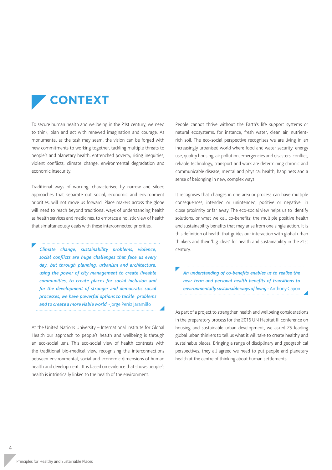

To secure human health and wellbeing in the 21st century, we need to think, plan and act with renewed imagination and courage. As monumental as the task may seem, the vision can be forged with new commitments to working together, tackling multiple threats to people's and planetary health, entrenched poverty, rising inequities, violent conflicts, climate change, environmental degradation and economic insecurity.

Traditional ways of working, characterised by narrow and siloed approaches that separate out social, economic and environment priorities, will not move us forward. Place makers across the globe will need to reach beyond traditional ways of understanding health as health services and medicines, to embrace a holistic view of health that simultaneously deals with these interconnected priorities.

*Climate change, sustainability problems, violence, social conflicts are huge challenges that face us every day, but through planning, urbanism and architecture, using the power of city management to create liveable communities, to create places for social inclusion and for the development of stronger and democratic social processes, we have powerful options to tackle problems and to create a more viable world* -Jorge Peréz Jaramillo

At the United Nations University – International Institute for Global Health our approach to people's health and wellbeing is through an eco-social lens. This eco-social view of health contrasts with the traditional bio-medical view, recognising the interconnections between environmental, social and economic dimensions of human health and development. It is based on evidence that shows people's health is intrinsically linked to the health of the environment.

People cannot thrive without the Earth's life support systems or natural ecosystems, for instance, fresh water, clean air, nutrientrich soil. The eco-social perspective recognizes we are living in an increasingly urbanised world where food and water security, energy use, quality housing, air pollution, emergencies and disasters, conflict, reliable technology, transport and work are determining chronic and communicable disease, mental and physical health, happiness and a sense of belonging in new, complex ways.

It recognises that changes in one area or process can have multiple consequences, intended or unintended, positive or negative, in close proximity or far away. The eco-social view helps us to identify solutions, or what we call co-benefits; the multiple positive health and sustainability benefits that may arise from one single action. It is this definition of health that guides our interaction with global urban thinkers and their 'big ideas' for health and sustainability in the 21st century.

*An understanding of co-benefits enables us to realise the near term and personal health benefits of transitions to environmentally sustainable ways of living* - Anthony Capon

As part of a project to strengthen health and wellbeing considerations in the preparatory process for the 2016 UN Habitat III conference on housing and sustainable urban development, we asked 25 leading global urban thinkers to tell us what it will take to create healthy and sustainable places. Bringing a range of disciplinary and geographical perspectives, they all agreed we need to put people and planetary health at the centre of thinking about human settlements.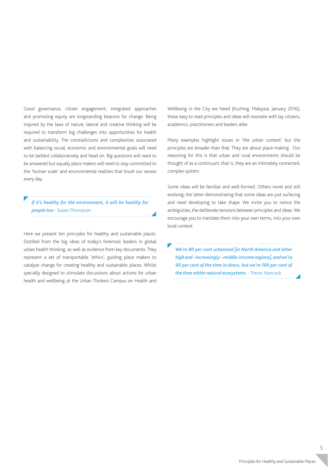Good governance, citizen engagement, integrated approaches and promoting equity are longstanding beacons for change. Being inspired by the laws of nature, lateral and creative thinking will be required to transform big challenges into opportunities for health and sustainability. The contradictions and complexities associated with balancing social, economic and environmental goals will need to be tackled collaboratively and head on. Big questions will need to be answered but equally place makers will need to stay committed to the 'human scale' and environmental realities that brush our senses every day.

*If it's healthy for the environment, it will be healthy for people too* - Susan Thompson

Here we present ten principles for healthy and sustainable places. Distilled from the big ideas of today's foremost leaders in global urban health thinking, as well as evidence from key documents. They represent a set of transportable 'ethics', guiding place makers to catalyse change for creating healthy and sustainable places. Whilst specially designed to stimulate discussions about actions for urban health and wellbeing at the Urban Thinkers Campus on Health and Wellbeing in the City we Need (Kuching, Malaysia, January 2016), these easy to read principles and ideas will resonate with lay citizens, academics, practitioners and leaders alike.

Many examples highlight issues in 'the urban context' but the principles are broader than that. They are about place-making. Our reasoning for this is that urban and rural environments should be thought of as a continuum; that is, they are an intimately connected, complex system.

Some ideas will be familiar and well-formed. Others novel and still evolving; the latter demonstrating that some ideas are just surfacing and need developing to take shape. We invite you to notice the ambiguities, the deliberate tensions between principles and ideas. We encourage you to translate them into your own terms, into your own local context.

*We're 80 per cent urbanised [in North America and other high and - increasingly – middle-income regions], and we're 90 per cent of the time in doors, but we're 100 per cent of the time within natural ecosystems* - Trevor Hancock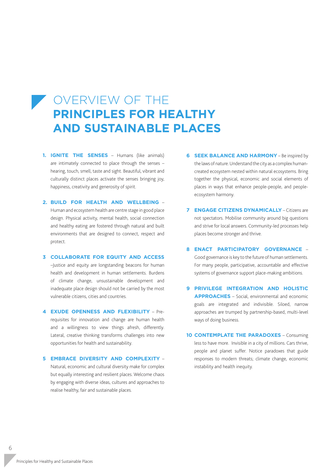#### **OVERVIEW OF THE PRINCIPLES FOR HEALTHY AND SUSTAINABLE PLACES**

- **1. IGNITE THE SENSES** Humans (like animals) are intimately connected to place through the senses – hearing, touch, smell, taste and sight. Beautiful, vibrant and culturally distinct places activate the senses bringing joy, happiness, creativity and generosity of spirit.
- **2. BUILD FOR HEALTH AND WELLBEING** Human and ecosystem health are centre stage in good place design. Physical activity, mental health, social connection and healthy eating are fostered through natural and built environments that are designed to connect, respect and protect.
- **3 COLLABORATE FOR EQUITY AND ACCESS** –Justice and equity are longstanding beacons for human health and development in human settlements. Burdens of climate change, unsustainable development and inadequate place design should not be carried by the most vulnerable citizens, cities and countries.
- **4 EXUDE OPENNESS AND FLEXIBILITY** Prerequisites for innovation and change are human health and a willingness to view things afresh, differently. Lateral, creative thinking transforms challenges into new opportunities for health and sustainability.
- **5 EMBRACE DIVERSITY AND COMPLEXITY** Natural, economic and cultural diversity make for complex but equally interesting and resilient places. Welcome chaos by engaging with diverse ideas, cultures and approaches to realise healthy, fair and sustainable places.
- **6 SEEK BALANCE AND HARMONY** Be inspired by the laws of nature. Understand the city as a complex humancreated ecosystem nested within natural ecosystems. Bring together the physical, economic and social elements of places in ways that enhance people-people, and peopleecosystem harmony.
- **7 ENGAGE CITIZENS DYNAMICALLY** Citizens are not spectators. Mobilise community around big questions and strive for local answers. Community-led processes help places become stronger and thrive.
- **8 ENACT PARTICIPATORY GOVERNANCE** Good governance is key to the future of human settlements. For many people, participative, accountable and effective systems of governance support place-making ambitions.
- **9 PRIVILEGE INTEGRATION AND HOLISTIC APPROACHES** – Social, environmental and economic goals are integrated and indivisible. Siloed, narrow approaches are trumped by partnership-based, multi-level ways of doing business.
- **10 CONTEMPLATE THE PARADOXES** Consuming less to have more. Invisible in a city of millions. Cars thrive, people and planet suffer. Notice paradoxes that guide responses to modern threats; climate change, economic instability and health inequity.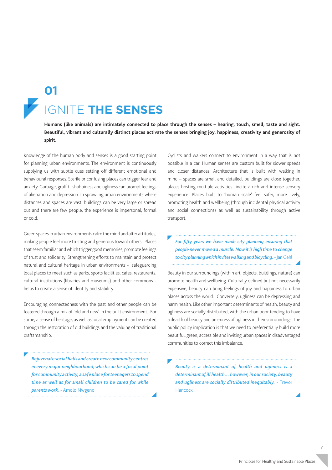## IGNITE **THE SENSES 01**

**Humans (like animals) are intimately connected to place through the senses – hearing, touch, smell, taste and sight. Beautiful, vibrant and culturally distinct places activate the senses bringing joy, happiness, creativity and generosity of spirit.**

Knowledge of the human body and senses is a good starting point for planning urban environments. The environment is continuously supplying us with subtle cues setting off different emotional and behavioural responses. Sterile or confusing places can trigger fear and anxiety. Garbage, graffiti, shabbiness and ugliness can prompt feelings of alienation and depression. In sprawling urban environments where distances and spaces are vast, buildings can be very large or spread out and there are few people, the experience is impersonal, formal or cold.

Green spaces in urban environments calm the mind and alter attitudes, making people feel more trusting and generous toward others. Places that seem familiar and which trigger good memories, promote feelings of trust and solidarity. Strengthening efforts to maintain and protect natural and cultural heritage in urban environments - safeguarding local places to meet such as parks, sports facilities, cafes, restaurants, cultural institutions (libraries and museums) and other commons helps to create a sense of identity and stability.

Encouraging connectedness with the past and other people can be fostered through a mix of 'old and new' in the built environment. For some, a sense of heritage, as well as local employment can be created through the restoration of old buildings and the valuing of traditional craftsmanship.

*Rejuvenate social halls and create new community centres in every major neighbourhood, which can be a focal point for community activity, a safe place for teenagers to spend time as well as for small children to be cared for while parents work.* - Amolo Nwgeno

Cyclists and walkers connect to environment in a way that is not possible in a car. Human senses are custom built for slower speeds and closer distances. Architecture that is built with walking in mind – spaces are small and detailed, buildings are close together, places hosting multiple activities incite a rich and intense sensory experience. Places built to 'human scale' feel safer, more lively, promoting health and wellbeing (through incidental physical activity and social connections) as well as sustainability through active transport.

*For fifty years we have made city planning ensuring that people never moved a muscle. Now it is high time to change to city planning which invites walking and bicycling.* - Jan Gehl

Beauty in our surroundings (within art, objects, buildings, nature) can promote health and wellbeing. Culturally defined but not necessarily expensive, beauty can bring feelings of joy and happiness to urban places across the world. Conversely, ugliness can be depressing and harm health. Like other important determinants of health, beauty and ugliness are socially distributed, with the urban poor tending to have a dearth of beauty and an excess of ugliness in their surroundings. The public policy implication is that we need to preferentially build more beautiful, green, accessible and inviting urban spaces in disadvantaged communities to correct this imbalance.

*Beauty is a determinant of health and ugliness is a determinant of ill health… however, in our society, beauty and ugliness are socially distributed inequitably.* - Trevor Hancock

7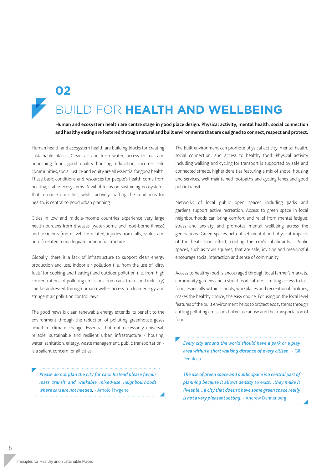

#### **D FOR HEALTH AND WELLBEING 02**

**Human and ecosystem health are centre stage in good place design. Physical activity, mental health, social connection and healthy eating are fostered through natural and built environments that are designed to connect, respect and protect.**

Human health and ecosystem health are building blocks for creating sustainable places. Clean air and fresh water, access to fuel and nourishing food, good quality housing, education, income, safe communities, social justice and equity are all essential for good health. These basic conditions and resources for people's health come from healthy, stable ecosystems. A wilful focus on sustaining ecosystems that resource our cities, whilst actively crafting the conditions for health, is central to good urban planning.

Cities in low and middle-income countries experience very large health burdens from diseases (water-borne and food-borne illness) and accidents (motor vehicle-related, injuries from falls, scalds and burns) related to inadequate or no infrastructure.

Globally, there is a lack of infrastructure to support clean energy production and use. Indoor air pollution (i.e. from the use of 'dirty fuels' for cooking and heating) and outdoor pollution (i.e. from high concentrations of polluting emissions from cars, trucks and industry) can be addressed through urban dweller access to clean energy and stringent air pollution control laws.

The good news is clean renewable energy extends its benefit to the environment through the reduction of polluting greenhouse gases linked to climate change. Essential but not necessarily universal, reliable, sustainable and resilient urban infrastructure - housing, water, sanitation, energy, waste management, public transportation is a salient concern for all cities.

*Please do not plan the city for cars! Instead please favour mass transit and walkable mixed-use neighbourhoods where cars are not needed.* - Amolo Nwgeno

The built environment can promote physical activity, mental health, social connection, and access to healthy food. Physical activity including walking and cycling for transport is supported by safe and connected streets, higher densities featuring a mix of shops, housing and services, well maintained footpaths and cycling lanes and good public transit.

Networks of local public open spaces including parks and gardens support active recreation. Access to green space in local neighbourhoods can bring comfort and relief from mental fatigue, stress and anxiety and promotes mental wellbeing across the generations. Green spaces help offset mental and physical impacts of the heat-island effect, cooling the city's inhabitants. Public spaces, such as town squares, that are safe, inviting and meaningful encourage social interaction and sense of community.

Access to healthy food is encouraged through local farmer's markets, community gardens and a street food culture. Limiting access to fast food, especially within schools, workplaces and recreational facilities, makes the healthy choice, the easy choice. Focusing on the local level features of the built environment helps to protect ecosystems through cutting polluting emissions linked to car use and the transportation of food.

*Every city around the world should have a park or a play area within a short walking distance of every citizen.* - Gil Penalosa

*The use of green space and public space is a central part of planning because it allows density to exist…they make it liveable…a city that doesn't have some green space really is not a very pleasant setting.* - Andrew Dannenberg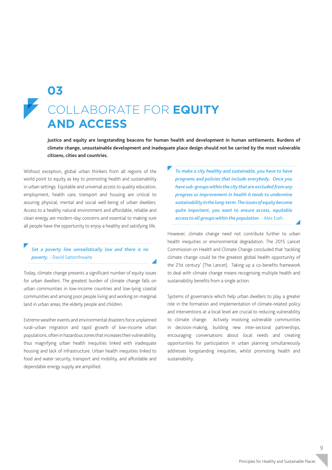### COLLABORATE FOR **EQUITY AND ACCESS 03**

**Justice and equity are longstanding beacons for human health and development in human settlements. Burdens of climate change, unsustainable development and inadequate place design should not be carried by the most vulnerable citizens, cities and countries.** 

Without exception, global urban thinkers from all regions of the world point to equity as key to promoting health and sustainability in urban settings. Equitable and universal access to quality education, employment, health care, transport and housing are critical to assuring physical, mental and social well-being of urban dwellers. Access to a healthy natural environment and affordable, reliable and clean energy are modern-day concerns and essential to making sure all people have the opportunity to enjoy a healthy and satisfying life.

#### *Set a poverty line unrealistically low and there is no poverty.* - David Satterthwaite

Today, climate change presents a significant number of equity issues for urban dwellers. The greatest burden of climate change falls on urban communities in low-income countries and low-lying coastal communities and among poor people living and working on marginal land in urban areas, the elderly people and children.

Extreme weather events and environmental disasters force unplanned rural–urban migration and rapid growth of low-income urban populations, often in hazardous zones that increases their vulnerability, thus magnifying urban health inequities linked with inadequate housing and lack of infrastructure. Urban health inequities linked to food and water security, transport and mobility, and affordable and dependable energy supply are amplified.

*To make a city healthy and sustainable, you have to have programs and policies that include everybody. Once you have sub-groups within the city that are excluded from any progress or improvement in health it tends to undermine sustainability in the long-term. The issues of equity become quite important, you want to ensure access, equitable access to all groups within the population.* - Alex Ezeh 

However, climate change need not contribute further to urban health inequities or environmental degradation. The 2015 Lancet Commission on Health and Climate Change concluded that 'tackling climate change could be the greatest global health opportunity of the 21st century' (The Lancet). Taking up a co-benefits framework to deal with climate change means recognising multiple health and sustainability benefits from a single action.

Systems of governance which help urban dwellers to play a greater role in the formation and implementation of climate-related policy and interventions at a local level are crucial to reducing vulnerability to climate change. Actively involving vulnerable communities in decision-making, building new inter-sectoral partnerships, encouraging conversations about local needs and creating opportunities for participation in urban planning simultaneously addresses longstanding inequities, whilst promoting health and sustainability.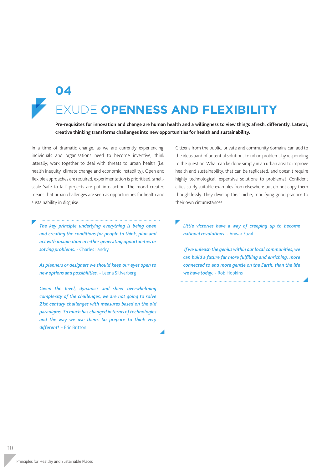

**04**

## EXUDE **OPENNESS AND FLEXIBILITY**

**Pre-requisites for innovation and change are human health and a willingness to view things afresh, differently. Lateral, creative thinking transforms challenges into new opportunities for health and sustainability.**

In a time of dramatic change, as we are currently experiencing, individuals and organisations need to become inventive, think laterally; work together to deal with threats to urban health (i.e. health inequity, climate change and economic instability). Open and flexible approaches are required, experimentation is prioritised, smallscale 'safe to fail' projects are put into action. The mood created means that urban challenges are seen as opportunities for health and sustainability in disguise.

*The key principle underlying everything is being open and creating the conditions for people to think, plan and act with imagination in either generating opportunities or solving problems.* - Charles Landry

*As planners or designers we should keep our eyes open to new options and possibilities.* - Leena Silfverberg

Given the level, dynamics and sheer overwhelming *complexity of the challenges, we are not going to solve 21st century challenges with measures based on the old paradigms. So much has changed in terms of technologies and the way we use them. So prepare to think very different!* - Eric Britton

Citizens from the public, private and community domains can add to the ideas bank of potential solutions to urban problems by responding to the question: What can be done simply in an urban area to improve health and sustainability, that can be replicated, and doesn't require highly technological, expensive solutions to problems? Confident cities study suitable examples from elsewhere but do not copy them thoughtlessly. They develop their niche, modifying good practice to their own circumstances.

Little victories have a way of creeping up to become *national revolutions.* - Anwar Fazal

 *If we unleash the genius within our local communities, we can build a future far more fulfilling and enriching, more connected to and more gentle on the Earth, than the life we have today.* - Rob Hopkins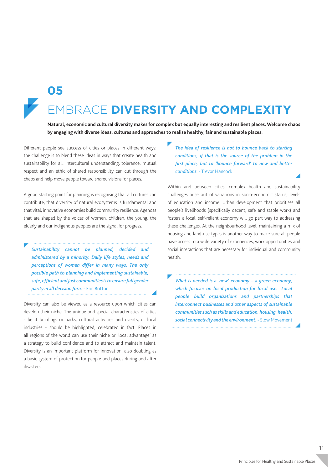

#### EMBRACE **DIVERSITY AND COMPLEXITY 05**

**Natural, economic and cultural diversity makes for complex but equally interesting and resilient places. Welcome chaos by engaging with diverse ideas, cultures and approaches to realise healthy, fair and sustainable places.**

Different people see success of cities or places in different ways; the challenge is to blend these ideas in ways that create health and sustainability for all. Intercultural understanding, tolerance, mutual respect and an ethic of shared responsibility can cut through the chaos and help move people toward shared visions for places.

A good starting point for planning is recognising that all cultures can contribute, that diversity of natural ecosystems is fundamental and that vital, innovative economies build community resilience. Agendas that are shaped by the voices of women, children, the young, the elderly and our indigenous peoples are the signal for progress.

*Sustainability cannot be planned, decided and administered by a minority. Daily life styles, needs and perceptions of women differ in many ways. The only possible path to planning and implementing sustainable, safe, efficient and just communities is to ensure full gender parity in all decision fora.* - Eric Britton

Diversity can also be viewed as a resource upon which cities can develop their niche. The unique and special characteristics of cities - be it buildings or parks, cultural activities and events, or local industries - should be highlighted, celebrated in fact. Places in all regions of the world can use their niche or 'local advantage' as a strategy to build confidence and to attract and maintain talent. Diversity is an important platform for innovation, also doubling as a basic system of protection for people and places during and after disasters.

*The idea of resilience is not to bounce back to starting conditions, if that is the source of the problem in the first place, but to 'bounce forward' to new and better conditions.* - Trevor Hancock

Within and between cities, complex health and sustainability challenges arise out of variations in socio-economic status, levels of education and income. Urban development that prioritises all people's livelihoods (specifically decent, safe and stable work) and fosters a local, self-reliant economy will go part way to addressing these challenges. At the neighbourhood level, maintaining a mix of housing and land-use types is another way to make sure all people have access to a wide variety of experiences, work opportunities and social interactions that are necessary for individual and community health.

*What is needed is a 'new' economy – a green economy, which focuses on local production for local use. Local people build organizations and partnerships that interconnect businesses and other aspects of sustainable communities such as skills and education, housing, health, social connectivity and the environment.*- Slow Movement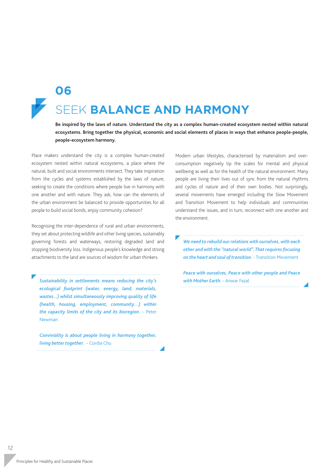### SEEK **BALANCE AND HARMONY 06**

**Be inspired by the laws of nature. Understand the city as a complex human-created ecosystem nested within natural ecosystems. Bring together the physical, economic and social elements of places in ways that enhance people-people, people-ecosystem harmony.**

Place makers understand the city is a complex human-created ecosystem nested within natural ecosystems, a place where the natural, built and social environments intersect. They take inspiration from the cycles and systems established by the laws of nature; seeking to create the conditions where people live in harmony with one another and with nature. They ask, how can the elements of the urban environment be balanced to provide opportunities for all people to build social bonds, enjoy community cohesion?

Recognising the inter-dependence of rural and urban environments, they set about protecting wildlife and other living species, sustainably governing forests and waterways, restoring degraded land and stopping biodiversity loss. Indigenous people's knowledge and strong attachments to the land are sources of wisdom for urban thinkers.

*Sustainability in settlements means reducing the city's ecological footprint (water, energy, land, materials, wastes...) whilst simultaneously improving quality of life (health, housing, employment, community…) within the capacity limits of the city and its bioregion.* - Peter Newman

*Conviviality is about people living in harmony together, living better together.* - Cordia Chu

Modern urban lifestyles, characterised by materialism and overconsumption negatively tip the scales for mental and physical wellbeing as well as for the health of the natural environment. Many people are living their lives out of sync from the natural rhythms and cycles of nature and of their own bodies. Not surprisingly, several movements have emerged including the Slow Movement and Transition Movement to help individuals and communities understand the issues, and in turn, reconnect with one another and the environment.

*We need to rebuild our relations with ourselves, with each other and with the "natural world". That requires focusing on the heart and soul of transition.* - Transition Movement

*Peace with ourselves, Peace with other people and Peace with Mother Earth.* - Anwar Fazal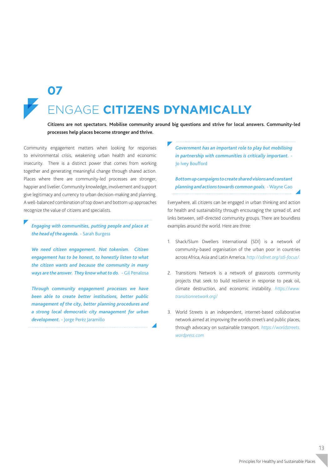

**07**

## ENGAGE **CITIZENS DYNAMICALLY**

**Citizens are not spectators. Mobilise community around big questions and strive for local answers. Community-led processes help places become stronger and thrive.** 

Community engagement matters when looking for responses to environmental crisis, weakening urban health and economic insecurity. There is a distinct power that comes from working together and generating meaningful change through shared action. Places where there are community-led processes are stronger, happier and livelier. Community knowledge, involvement and support give legitimacy and currency to urban decision-making and planning. A well-balanced combination of top down and bottom up approaches recognize the value of citizens and specialists.

*Engaging with communities, putting people and place at the head of the agenda.* - Sarah Burgess

*We need citizen engagement. Not tokenism. Citizen engagement has to be honest, to honestly listen to what the citizen wants and because the community in many ways are the answer. They know what to do.* - Gil Penalosa

*Through community engagement processes we have been able to create better institutions, better public management of the city, better planning procedures and a strong local democratic city management for urban development.* - Jorge Peréz Jaramillo

*Government has an important role to play but mobilising in partnership with communities is critically important.* - Jo Ivey Boufford

*Bottom up campaigns to create shared visions and constant planning and actions towards common goals.* - Wayne Gao 

Everywhere, all citizens can be engaged in urban thinking and action for health and sustainability through encouraging the spread of, and links between, self-directed community groups. There are boundless examples around the world. Here are three:

- 1. Shack/Slum Dwellers International (SDI) is a network of community-based organisation of the urban poor in countries across Africa, Asia and Latin America. *http://sdinet.org/sdi-focus/.*
- 2. Transitions Network is a network of grassroots community projects that seek to build resilience in response to peak oil, climate destruction, and economic instability. *https://www. transitionnetwork.org/*
- 3. World Streets is an independent, internet-based collaborative network aimed at improving the worlds street's and public places, through advocacy on sustainable transport. *https://worldstreets. wordpress.com*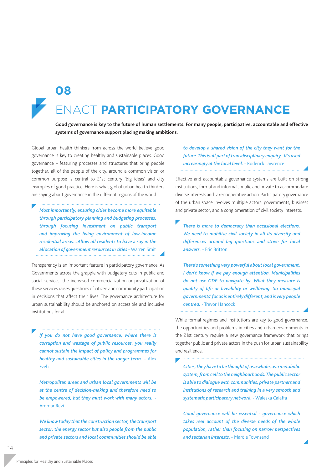

**08**

#### **VACT PARTICIPATORY GOVERNANCE**

**Good governance is key to the future of human settlements. For many people, participative, accountable and effective systems of governance support placing making ambitions.** 

Global urban health thinkers from across the world believe good governance is key to creating healthy and sustainable places. Good governance – featuring processes and structures that bring people together, all of the people of the city, around a common vision or common purpose is central to 21st century 'big ideas' and city examples of good practice. Here is what global urban health thinkers are saying about governance in the different regions of the world.

*Most importantly, ensuring cities become more equitable through participatory planning and budgeting processes, through focusing investment on public transport and improving the living environment of low-income residential areas…Allow all residents to have a say in the allocation of government resources in cities* - Warren Smit

Transparency is an important feature in participatory governance. As Governments across the grapple with budgetary cuts in public and social services, the increased commercialization or privatization of these services raises questions of citizen and community participation in decisions that affect their lives. The governance architecture for urban sustainability should be anchored on accessible and inclusive institutions for all.

*If you do not have good governance, where there is corruption and wastage of public resources, you really cannot sustain the impact of policy and programmes for healthy and sustainable cities in the longer term.* - Alex Ezeh

*Metropolitan areas and urban local governments will be at the centre of decision-making and therefore need to be empowered, but they must work with many actors.* - Aromar Revi

*We know today that the construction sector, the transport sector, the energy sector but also people from the public and private sectors and local communities should be able* 

*to develop a shared vision of the city they want for the future. This is all part of transdisciplinary enquiry. It's used increasingly at the local level.* - Roderick Lawrence

Effective and accountable governance systems are built on strong institutions, formal and informal, public and private to accommodate diverse interests and take cooperative action. Participatory governance of the urban space involves multiple actors: governments, business and private sector, and a conglomeration of civil society interests.

*There is more to democracy than occasional elections. We need to mobilise civil society in all its diversity and differences around big questions and strive for local answers.* - Eric Britton

*There's something very powerful about local government. I don't know if we pay enough attention. Municipalities do not use GDP to navigate by. What they measure is quality of life or liveability or wellbeing. So municipal governments' focus is entirely different, and is very people centred.* - Trevor Hancock

While formal regimes and institutions are key to good governance, the opportunities and problems in cities and urban environments in the 21st century require a new governance framework that brings together public and private actors in the push for urban sustainability and resilience.

*Cities, they have to be thought of as a whole, as a metabolic system, from cell to the neighbourhoods. The public sector is able to dialogue with communities, private partners and institutions of research and training in a very smooth and systematic participatory network.* - Waleska Caiaffa

*Good governance will be essential - governance which takes real account of the diverse needs of the whole population, rather than focusing on narrow perspectives and sectarian interests.* - Mardie Townsend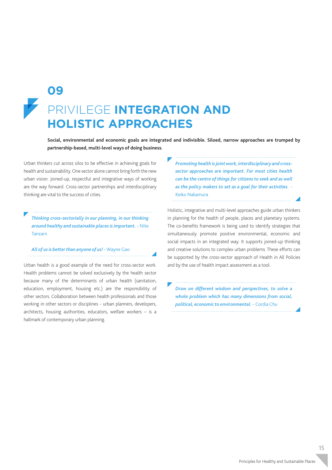### PRIVILEGE **INTEGRATION AND HOLISTIC APPROACHES 09**

**Social, environmental and economic goals are integrated and indivisible. Siloed, narrow approaches are trumped by partnership-based, multi-level ways of doing business.**

Urban thinkers cut across silos to be effective in achieving goals for health and sustainability. One sector alone cannot bring forth the new urban vision. Joined-up, respectful and integrative ways of working are the way forward. Cross-sector partnerships and interdisciplinary thinking are vital to the success of cities.

*Thinking cross-sectorially in our planning, in our thinking around healthy and sustainable places is important.* - Nite Tanzarn

#### *All of us is better than anyone of us!* - Wayne Gao

Urban health is a good example of the need for cross-sector work. Health problems cannot be solved exclusively by the health sector because many of the determinants of urban health (sanitation, education, employment, housing etc.) are the responsibility of other sectors. Collaboration between health professionals and those working in other sectors or disciplines - urban planners, developers, architects, housing authorities, educators, welfare workers – is a hallmark of contemporary urban planning.

*Promoting health is joint work, interdisciplinary and crosssector approaches are important. For most cities health can be the centre of things for citizens to seek and as well as the policy makers to set as a goal for their activities.* - Keiko Nakamura

Holistic, integrative and multi-level approaches guide urban thinkers in planning for the health of people, places and planetary systems. The co-benefits framework is being used to identify strategies that simultaneously promote positive environmental, economic and social impacts in an integrated way. It supports joined-up thinking and creative solutions to complex urban problems. These efforts can be supported by the cross-sector approach of Health in All Policies and by the use of health impact assessment as a tool.

*Draw on different wisdom and perspectives, to solve a whole problem which has many dimensions from social, political, economic to environmental.* - Cordia Chu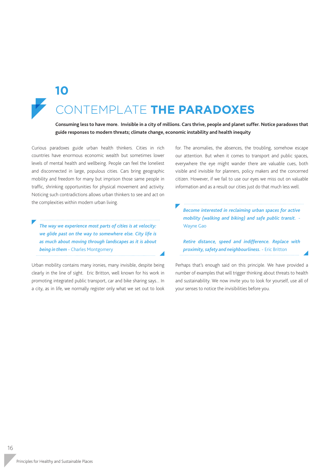## CONTEMPLATE **THE PARADOXES 10**

**Consuming less to have more. Invisible in a city of millions. Cars thrive, people and planet suffer. Notice paradoxes that guide responses to modern threats; climate change, economic instability and health inequity**

Curious paradoxes guide urban health thinkers. Cities in rich countries have enormous economic wealth but sometimes lower levels of mental health and wellbeing. People can feel the loneliest and disconnected in large, populous cities. Cars bring geographic mobility and freedom for many but imprison those same people in traffic, shrinking opportunities for physical movement and activity. Noticing such contradictions allows urban thinkers to see and act on the complexities within modern urban living.

*The way we experience most parts of cities is at velocity: we glide past on the way to somewhere else. City life is as much about moving through landscapes as it is about being in them* - Charles Montgomery

Urban mobility contains many ironies, many invisible, despite being clearly in the line of sight. Eric Britton, well known for his work in promoting integrated public transport, car and bike sharing says... In a city, as in life, we normally register only what we set out to look for. The anomalies, the absences, the troubling, somehow escape our attention. But when it comes to transport and public spaces, everywhere the eye might wander there are valuable cues, both visible and invisible for planners, policy makers and the concerned citizen. However, if we fail to use our eyes we miss out on valuable information and as a result our cities just do that much less well.

*Become interested in reclaiming urban spaces for active mobility (walking and biking) and safe public transit.* - Wayne Gao

*Retire distance, speed and indifference. Replace with proximity, safety and neighbourliness.* - Eric Britton

Perhaps that's enough said on this principle. We have provided a number of examples that will trigger thinking about threats to health and sustainability. We now invite you to look for yourself, use all of your senses to notice the invisibilities before you.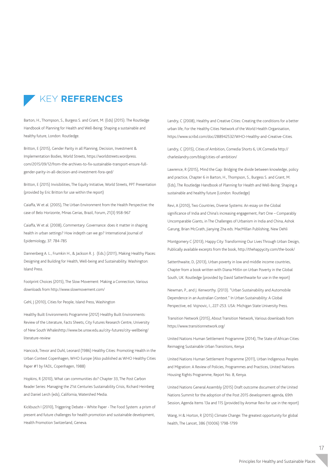

Barton, H., Thompson, S., Burgess S. and Grant, M. (Eds) (2015). The Routledge Handbook of Planning for Health and Well-Being: Shaping a sustainable and healthy future, London: Routledge.

Britton, E (2015), Gender Parity in all Planning, Decision, Investment & Implementation Bodies, World Streets, https://worldstreets.wordpress. com/2015/09/12/from-the-archives-to-fix-sustainable-transport-ensure-fullgender-parity-in-all-decision-and-investment-fora-qed/

Britton, E (2015) Invisibilities, The Equity Initiative, World Streets, PPT Presentation (provided by Eric Britton for use within the report)

Caiaffa, W et al. (2005), The Urban Environment from the Health Perspective: the case of Belo Horizonte, Minas Gerias, Brazil, Forum, 21(3) 958-967

Caiaffa, W et al. (2008), Commentary: Governance: does it matter in shaping health in urban settings? How indepth can we go? International Journal of Epidemiology, 37: 784-785

Dannenberg A. L., Frumkin H., & Jackson R. J. (Eds.) (2011), Making Healthy Places: Designing and Building for Health, Well-being and Sustainability. Washington: Island Press.

Footprint Choices (2015), The Slow Movement: Making a Connection, Various downloads from http://www.slowmovement.com/

Gehl, J (2010), Cities for People, Island Press, Washington

Healthy Built Environments Programme (2012) Healthy Built Environments: Review of the Literature, Facts Sheets, City Futures Research Centre, University of New South Whaleshttp://www.be.unsw.edu.au/city-futures/city-wellbeing/ literature-review

Hancock, Trevor and Duhl, Leonard (1986) Healthy Cities: Promoting Health in the Urban Context Copenhagen, WHO Europe (Also published as WHO Healthy Cities Paper #1 by FADL, Copenhagen, 1988)

Hopkins, R (2010), What can communities do? Chapter 33, The Post Carbon Reader Series: Managing the 21st Centuries Sustainability Crisis, Richard Heinberg and Daniel Lerch (eds), California, Watershed Media.

Kickbusch I (2010), Triggering Debate – White Paper - The Food System: a prism of present and future challenges for health promotion and sustainable development, Health Promotion Switzerland, Geneva.

Landry, C (2008), Healthy and Creative Cities: Creating the conditions for a better urban life, For the Healthy Cities Network of the World Health Organisation, https://www.scribd.com/doc/288942532/WHO-Healthy-and-Creative-Cities.

Landry, C (2015), Cities of Ambition, Comedia Shorts 6, UK:Comedia http:// charleslandry.com/blog/cities-of-ambition/

Lawrence, R (2015), Mind the Gap: Bridging the divide between knowledge, policy and practice, Chapter 6 in Barton, H., Thompson, S., Burgess S. and Grant, M. (Eds), The Routledge Handbook of Planning for Health and Well-Being: Shaping a sustainable and healthy future (London: Routledge)

Revi, A (2010), Two Countries, Diverse Systems: An essay on the Global significance of India and China's increasing engagement, Part One – Comparably Uncomparable Giants, in The Challenges of Urbanism in India and China, Ashok Garung, Brian McGrath, Jianying Zha eds. MacMillan Publishing, New Dehli

Montgomery C (2013), Happy City: Transforming Our Lives Through Urban Design, Publically available excerpts from the book, http://thehappycity.com/the-book/

Satterthwaite, D, (2013), Urban poverty in low and middle income countries, Chapter from a book written with Diana Mitlin on Urban Poverty in the Global South, UK: Routledge (provided by David Satterthwaite for use in the report)

Newman, P., and J. Kenworthy. (2013). "Urban Sustainability and Automobile Dependence in an Australian Context." In Urban Sustainability: A Global Perspective, ed. Vojnovic, I., 227-253. USA: Michigan State University Press.

Transition Network (2015), About Transition Network, Various downloads from https://www.transitionnetwork.org/

United Nations Human Settlement Programme (2014), The State of African Cities: Reimaging Sustainable Urban Transitions, Kenya

United Nations Human Settlement Programme (2011), Urban Indigenous Peoples and Migration: A Review of Policies, Programmes and Practices, United Nations Housing Rights Programme, Report No. 8, Kenya.

United Nations General Assembly (2015) Draft outcome document of the United Nations Summit for the adoption of the Post 2015 development agenda, 69th Session, Agenda Items 13a and 115 (provided by Aromar Revi for use in the report)

Wang, H & Horton, R (2015) Climate Change: The greatest opportunity for global health, The Lancet, 386 (10006) 1798-1799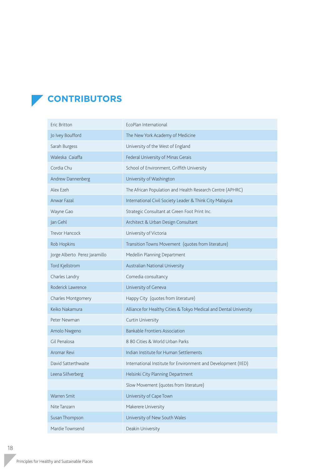#### **CONTRIBUTORS**

| Eric Britton                  | EcoPlan International                                             |
|-------------------------------|-------------------------------------------------------------------|
| Jo Ivey Boufford              | The New York Academy of Medicine                                  |
| Sarah Burgess                 | University of the West of England                                 |
| Waleska Caiaffa               | Federal University of Minas Gerais                                |
| Cordia Chu                    | School of Environment, Griffith University                        |
| Andrew Dannenberg             | University of Washington                                          |
| Alex Ezeh                     | The African Population and Health Research Centre (APHRC)         |
| Anwar Fazal                   | International Civil Society Leader & Think City Malaysia          |
| Wayne Gao                     | Strategic Consultant at Green Foot Print Inc.                     |
| Jan Gehl                      | Architect & Urban Design Consultant                               |
| Trevor Hancock                | University of Victoria                                            |
| Rob Hopkins                   | Transition Towns Movement (quotes from literature)                |
| Jorge Alberto Perez Jaramillo | Medellin Planning Department                                      |
| Tord Kjellstrom               | Australian National University                                    |
| Charles Landry                | Comedia consultancy                                               |
| Roderick Lawrence             | University of Geneva                                              |
| <b>Charles Montgomery</b>     | Happy City (quotes from literature)                               |
| Keiko Nakamura                | Alliance for Healthy Cities & Tokyo Medical and Dental University |
| Peter Newman                  | Curtin University                                                 |
| Amolo Nwgeno                  | <b>Bankable Frontiers Association</b>                             |
| Gil Penalosa                  | 8 80 Cities & World Urban Parks                                   |
| Aromar Revi                   | Indian Institute for Human Settlements                            |
| David Satterthwaite           | International Institute for Environment and Development (IIED)    |
| Leena Silfverberg             | Helsinki City Planning Department                                 |
|                               | Slow Movement (quotes from literature)                            |
| Warren Smit                   | University of Cape Town                                           |
| Nite Tanzarn                  | Makerere University                                               |
| Susan Thompson                | University of New South Wales                                     |
| Mardie Townsend               | Deakin University                                                 |